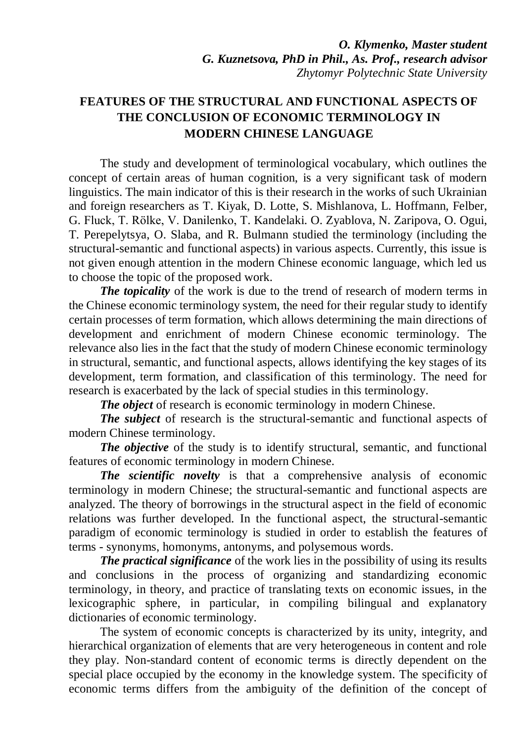## **FEATURES OF THE STRUCTURAL AND FUNCTIONAL ASPECTS OF THE CONCLUSION OF ECONOMIC TERMINOLOGY IN MODERN CHINESE LANGUAGE**

The study and development of terminological vocabulary, which outlines the concept of certain areas of human cognition, is a very significant task of modern linguistics. The main indicator of this is their research in the works of such Ukrainian and foreign researchers as T. Kiyak, D. Lotte, S. Mishlanova, L. Hoffmann, Felber, G. Fluck, T. Rölke, V. Danilenko, T. Kandelaki. O. Zyablova, N. Zaripova, O. Ogui, T. Perepelytsya, O. Slaba, and R. Bulmann studied the terminology (including the structural-semantic and functional aspects) in various aspects. Currently, this issue is not given enough attention in the modern Chinese economic language, which led us to choose the topic of the proposed work.

*The topicality* of the work is due to the trend of research of modern terms in the Chinese economic terminology system, the need for their regular study to identify certain processes of term formation, which allows determining the main directions of development and enrichment of modern Chinese economic terminology. The relevance also lies in the fact that the study of modern Chinese economic terminology in structural, semantic, and functional aspects, allows identifying the key stages of its development, term formation, and classification of this terminology. The need for research is exacerbated by the lack of special studies in this terminology.

*The object* of research is economic terminology in modern Chinese.

*The subject* of research is the structural-semantic and functional aspects of modern Chinese terminology.

*The objective* of the study is to identify structural, semantic, and functional features of economic terminology in modern Chinese.

*The scientific novelty* is that a comprehensive analysis of economic terminology in modern Chinese; the structural-semantic and functional aspects are analyzed. The theory of borrowings in the structural aspect in the field of economic relations was further developed. In the functional aspect, the structural-semantic paradigm of economic terminology is studied in order to establish the features of terms - synonyms, homonyms, antonyms, and polysemous words.

*The practical significance* of the work lies in the possibility of using its results and conclusions in the process of organizing and standardizing economic terminology, in theory, and practice of translating texts on economic issues, in the lexicographic sphere, in particular, in compiling bilingual and explanatory dictionaries of economic terminology.

The system of economic concepts is characterized by its unity, integrity, and hierarchical organization of elements that are very heterogeneous in content and role they play. Non-standard content of economic terms is directly dependent on the special place occupied by the economy in the knowledge system. The specificity of economic terms differs from the ambiguity of the definition of the concept of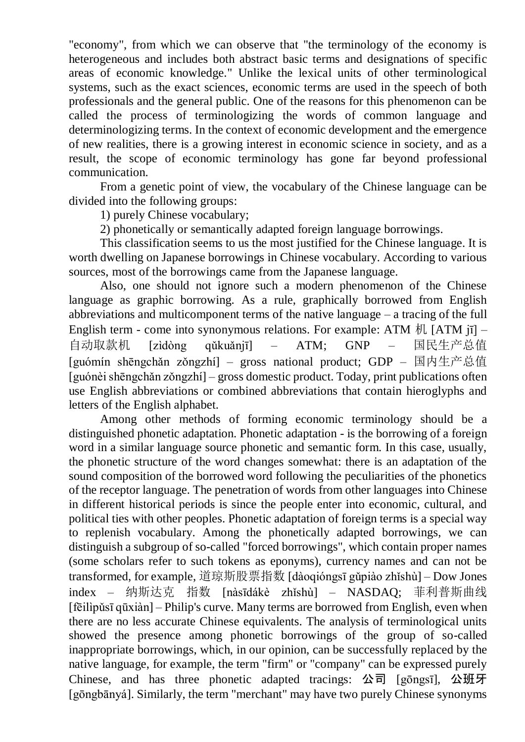"economy", from which we can observe that "the terminology of the economy is heterogeneous and includes both abstract basic terms and designations of specific areas of economic knowledge." Unlike the lexical units of other terminological systems, such as the exact sciences, economic terms are used in the speech of both professionals and the general public. One of the reasons for this phenomenon can be called the process of terminologizing the words of common language and determinologizing terms. In the context of economic development and the emergence of new realities, there is a growing interest in economic science in society, and as a result, the scope of economic terminology has gone far beyond professional communication.

From a genetic point of view, the vocabulary of the Chinese language can be divided into the following groups:

1) purely Chinese vocabulary;

2) phonetically or semantically adapted foreign language borrowings.

This classification seems to us the most justified for the Chinese language. It is worth dwelling on Japanese borrowings in Chinese vocabulary. According to various sources, most of the borrowings came from the Japanese language.

Also, one should not ignore such a modern phenomenon of the Chinese language as graphic borrowing. As a rule, graphically borrowed from English abbreviations and multicomponent terms of the native language – a tracing of the full English term - come into synonymous relations. For example: ATM  $\frac{1}{N}$  [ATM jī] – 自动取款机 [zìdòng qǔkuǎnjī] – ATM; GNP – 国民生产总值 [guómín shēngchǎn zǒngzhí] – gross national product; GDP – 国内生产总值 [guónèi shēngchǎn zǒngzhí] – gross domestic product. Today, print publications often use English abbreviations or combined abbreviations that contain hieroglyphs and letters of the English alphabet.

Among other methods of forming economic terminology should be a distinguished phonetic adaptation. Phonetic adaptation - is the borrowing of a foreign word in a similar language source phonetic and semantic form. In this case, usually, the phonetic structure of the word changes somewhat: there is an adaptation of the sound composition of the borrowed word following the peculiarities of the phonetics of the receptor language. The penetration of words from other languages into Chinese in different historical periods is since the people enter into economic, cultural, and political ties with other peoples. Phonetic adaptation of foreign terms is a special way to replenish vocabulary. Among the phonetically adapted borrowings, we can distinguish a subgroup of so-called "forced borrowings", which contain proper names (some scholars refer to such tokens as eponyms), currency names and can not be transformed, for example, 道琼斯股票指数 [dàoqióngsī gǔpiào zhǐshù] – Dow Jones index – 纳斯达克 指数 [nàsīdákè zhǐshù] – NASDAQ; 菲利普斯曲线 [fēilìpǔsī qūxiàn] – Philip's curve. Many terms are borrowed from English, even when there are no less accurate Chinese equivalents. The analysis of terminological units showed the presence among phonetic borrowings of the group of so-called inappropriate borrowings, which, in our opinion, can be successfully replaced by the native language, for example, the term "firm" or "company" can be expressed purely Chinese, and has three phonetic adapted tracings: 公司 [gōngsī], 公班牙 [gōngbānyá]. Similarly, the term "merchant" may have two purely Chinese synonyms